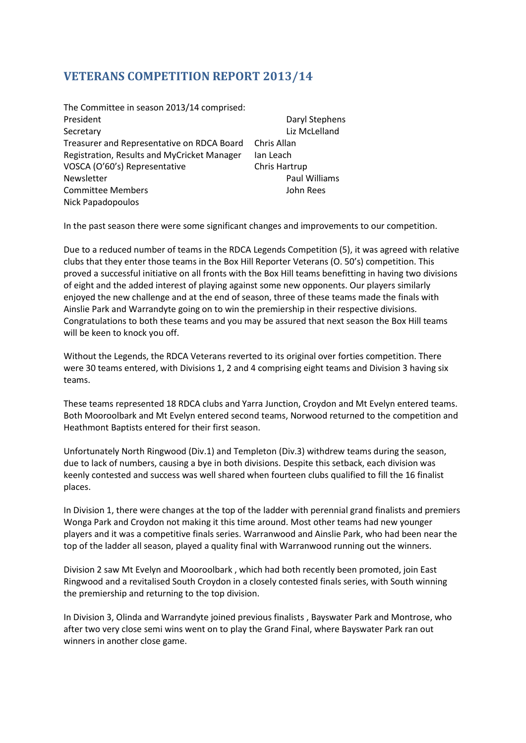## **VETERANS COMPETITION REPORT 2013/14**

| The Committee in season 2013/14 comprised:  |               |
|---------------------------------------------|---------------|
| President                                   | Daryl Stephen |
| Secretary                                   | Liz McLelland |
| Treasurer and Representative on RDCA Board  | Chris Allan   |
| Registration, Results and MyCricket Manager | Ian Leach     |
| VOSCA (O'60's) Representative               | Chris Hartrup |
| Newsletter                                  | Paul Williams |
| <b>Committee Members</b>                    | John Rees     |
| Nick Papadopoulos                           |               |

In the past season there were some significant changes and improvements to our competition.

**Stephens** 

Due to a reduced number of teams in the RDCA Legends Competition (5), it was agreed with relative clubs that they enter those teams in the Box Hill Reporter Veterans (O. 50's) competition. This proved a successful initiative on all fronts with the Box Hill teams benefitting in having two divisions of eight and the added interest of playing against some new opponents. Our players similarly enjoyed the new challenge and at the end of season, three of these teams made the finals with Ainslie Park and Warrandyte going on to win the premiership in their respective divisions. Congratulations to both these teams and you may be assured that next season the Box Hill teams will be keen to knock you off.

Without the Legends, the RDCA Veterans reverted to its original over forties competition. There were 30 teams entered, with Divisions 1, 2 and 4 comprising eight teams and Division 3 having six teams.

These teams represented 18 RDCA clubs and Yarra Junction, Croydon and Mt Evelyn entered teams. Both Mooroolbark and Mt Evelyn entered second teams, Norwood returned to the competition and Heathmont Baptists entered for their first season.

Unfortunately North Ringwood (Div.1) and Templeton (Div.3) withdrew teams during the season, due to lack of numbers, causing a bye in both divisions. Despite this setback, each division was keenly contested and success was well shared when fourteen clubs qualified to fill the 16 finalist places.

In Division 1, there were changes at the top of the ladder with perennial grand finalists and premiers Wonga Park and Croydon not making it this time around. Most other teams had new younger players and it was a competitive finals series. Warranwood and Ainslie Park, who had been near the top of the ladder all season, played a quality final with Warranwood running out the winners.

Division 2 saw Mt Evelyn and Mooroolbark , which had both recently been promoted, join East Ringwood and a revitalised South Croydon in a closely contested finals series, with South winning the premiership and returning to the top division.

In Division 3, Olinda and Warrandyte joined previous finalists , Bayswater Park and Montrose, who after two very close semi wins went on to play the Grand Final, where Bayswater Park ran out winners in another close game.